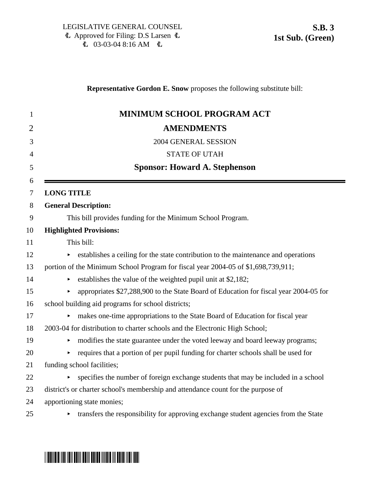# 1 **MINIMUM SCHOOL PROGRAM ACT** 2 **AMENDMENTS** 3 2004 GENERAL SESSION 4 STATE OF UTAH 5 **Sponsor: Howard A. Stephenson** 7 **LONG TITLE** 8 **General Description:** 9 This bill provides funding for the Minimum School Program. 10 **Highlighted Provisions:** 11 This bill: 12 establishes a ceiling for the state contribution to the maintenance and operations 13 portion of the Minimum School Program for fiscal year 2004-05 of \$1,698,739,911; 14 establishes the value of the weighted pupil unit at \$2,182; 15 appropriates \$27,288,900 to the State Board of Education for fiscal year 2004-05 for 16 school building aid programs for school districts; 17 • makes one-time appropriations to the State Board of Education for fiscal year 18 2003-04 for distribution to charter schools and the Electronic High School; 19 < modifies the state guarantee under the voted leeway and board leeway programs;  $20$  equires that a portion of per pupil funding for charter schools shall be used for 21 funding school facilities;  $22$   $\rightarrow$  specifies the number of foreign exchange students that may be included in a school

**Representative Gordon E. Snow** proposes the following substitute bill:

- 23 district's or charter school's membership and attendance count for the purpose of
- 24 apportioning state monies;
- 

6

 $25$   $\rightarrow$  transfers the responsibility for approving exchange student agencies from the State

# <u>\* SB00030 SD0003000 SD000 SD000 SD000 SD000 SD000 SD000 SD000 SD000 SD000 SD000 SD000 SD000 SD000 SD000 SD000</u>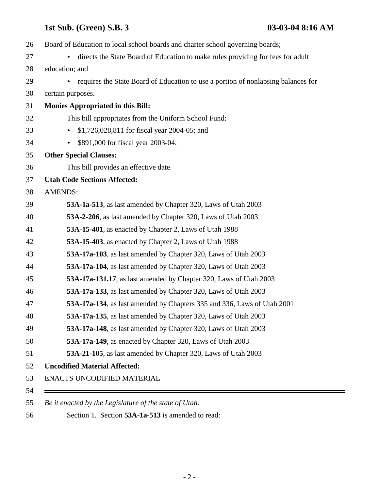| Board of Education to local school boards and charter school governing boards;    |
|-----------------------------------------------------------------------------------|
| directs the State Board of Education to make rules providing for fees for adult   |
| education; and                                                                    |
| requires the State Board of Education to use a portion of nonlapsing balances for |
| certain purposes.                                                                 |
| <b>Monies Appropriated in this Bill:</b>                                          |
| This bill appropriates from the Uniform School Fund:                              |
| \$1,726,028,811 for fiscal year 2004-05; and                                      |
| \$891,000 for fiscal year 2003-04.<br>▶                                           |
| <b>Other Special Clauses:</b>                                                     |
| This bill provides an effective date.                                             |
| <b>Utah Code Sections Affected:</b>                                               |
| <b>AMENDS:</b>                                                                    |
| 53A-1a-513, as last amended by Chapter 320, Laws of Utah 2003                     |
| 53A-2-206, as last amended by Chapter 320, Laws of Utah 2003                      |
| 53A-15-401, as enacted by Chapter 2, Laws of Utah 1988                            |
| 53A-15-403, as enacted by Chapter 2, Laws of Utah 1988                            |
| 53A-17a-103, as last amended by Chapter 320, Laws of Utah 2003                    |
| 53A-17a-104, as last amended by Chapter 320, Laws of Utah 2003                    |
| 53A-17a-131.17, as last amended by Chapter 320, Laws of Utah 2003                 |
| 53A-17a-133, as last amended by Chapter 320, Laws of Utah 2003                    |
| 53A-17a-134, as last amended by Chapters 335 and 336, Laws of Utah 2001           |
| 53A-17a-135, as last amended by Chapter 320, Laws of Utah 2003                    |
| 53A-17a-148, as last amended by Chapter 320, Laws of Utah 2003                    |
| 53A-17a-149, as enacted by Chapter 320, Laws of Utah 2003                         |
| 53A-21-105, as last amended by Chapter 320, Laws of Utah 2003                     |
| <b>Uncodified Material Affected:</b>                                              |
| ENACTS UNCODIFIED MATERIAL                                                        |

*Be it enacted by the Legislature of the state of Utah:*

56 Section 1. Section **53A-1a-513** is amended to read: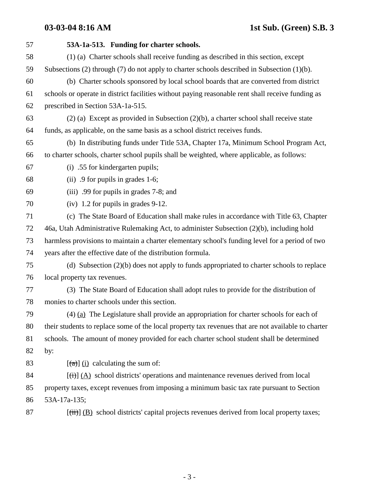| 57 | 53A-1a-513. Funding for charter schools.                                                                  |
|----|-----------------------------------------------------------------------------------------------------------|
| 58 | (1) (a) Charter schools shall receive funding as described in this section, except                        |
| 59 | Subsections $(2)$ through $(7)$ do not apply to charter schools described in Subsection $(1)(b)$ .        |
| 60 | (b) Charter schools sponsored by local school boards that are converted from district                     |
| 61 | schools or operate in district facilities without paying reasonable rent shall receive funding as         |
| 62 | prescribed in Section 53A-1a-515.                                                                         |
| 63 | $(2)$ (a) Except as provided in Subsection $(2)(b)$ , a charter school shall receive state                |
| 64 | funds, as applicable, on the same basis as a school district receives funds.                              |
| 65 | (b) In distributing funds under Title 53A, Chapter 17a, Minimum School Program Act,                       |
| 66 | to charter schools, charter school pupils shall be weighted, where applicable, as follows:                |
| 67 | (i) .55 for kindergarten pupils;                                                                          |
| 68 | (ii) $.9$ for pupils in grades 1-6;                                                                       |
| 69 | (iii) .99 for pupils in grades 7-8; and                                                                   |
| 70 | $(iv)$ 1.2 for pupils in grades 9-12.                                                                     |
| 71 | (c) The State Board of Education shall make rules in accordance with Title 63, Chapter                    |
| 72 | 46a, Utah Administrative Rulemaking Act, to administer Subsection (2)(b), including hold                  |
| 73 | harmless provisions to maintain a charter elementary school's funding level for a period of two           |
| 74 | years after the effective date of the distribution formula.                                               |
| 75 | (d) Subsection $(2)(b)$ does not apply to funds appropriated to charter schools to replace                |
| 76 | local property tax revenues.                                                                              |
| 77 | (3) The State Board of Education shall adopt rules to provide for the distribution of                     |
| 78 | monies to charter schools under this section.                                                             |
| 79 | $(4)$ (a) The Legislature shall provide an appropriation for charter schools for each of                  |
| 80 | their students to replace some of the local property tax revenues that are not available to charter       |
| 81 | schools. The amount of money provided for each charter school student shall be determined                 |
| 82 | by:                                                                                                       |
| 83 | $\left[\frac{a}{\alpha}\right]$ (i) calculating the sum of:                                               |
| 84 | $\overline{f(t)}$ (A) school districts' operations and maintenance revenues derived from local            |
| 85 | property taxes, except revenues from imposing a minimum basic tax rate pursuant to Section                |
| 86 | 53A-17a-135;                                                                                              |
| 87 | $[\overrightarrow{t})$ (B) school districts' capital projects revenues derived from local property taxes; |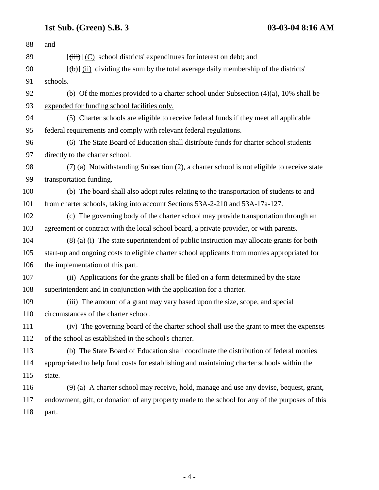| and                                                                                             |
|-------------------------------------------------------------------------------------------------|
| $[\overrightarrow{tiii}]$ (C) school districts' expenditures for interest on debt; and          |
| $[\theta$ ) (ii) dividing the sum by the total average daily membership of the districts'       |
| schools.                                                                                        |
| (b) Of the monies provided to a charter school under Subsection $(4)(a)$ , 10% shall be         |
| expended for funding school facilities only.                                                    |
| (5) Charter schools are eligible to receive federal funds if they meet all applicable           |
| federal requirements and comply with relevant federal regulations.                              |
| (6) The State Board of Education shall distribute funds for charter school students             |
| directly to the charter school.                                                                 |
| (7) (a) Notwithstanding Subsection (2), a charter school is not eligible to receive state       |
| transportation funding.                                                                         |
| (b) The board shall also adopt rules relating to the transportation of students to and          |
| from charter schools, taking into account Sections 53A-2-210 and 53A-17a-127.                   |
| (c) The governing body of the charter school may provide transportation through an              |
| agreement or contract with the local school board, a private provider, or with parents.         |
| $(8)$ (a) (i) The state superintendent of public instruction may allocate grants for both       |
| start-up and ongoing costs to eligible charter school applicants from monies appropriated for   |
| the implementation of this part.                                                                |
| (ii) Applications for the grants shall be filed on a form determined by the state               |
| superintendent and in conjunction with the application for a charter.                           |
| (iii) The amount of a grant may vary based upon the size, scope, and special                    |
| circumstances of the charter school.                                                            |
| (iv) The governing board of the charter school shall use the grant to meet the expenses         |
| of the school as established in the school's charter.                                           |
| (b) The State Board of Education shall coordinate the distribution of federal monies            |
| appropriated to help fund costs for establishing and maintaining charter schools within the     |
| state.                                                                                          |
| (9) (a) A charter school may receive, hold, manage and use any devise, bequest, grant,          |
| endowment, gift, or donation of any property made to the school for any of the purposes of this |
| part.                                                                                           |
|                                                                                                 |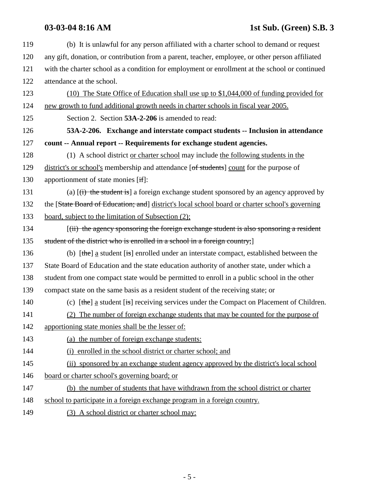| 119 | (b) It is unlawful for any person affiliated with a charter school to demand or request            |
|-----|----------------------------------------------------------------------------------------------------|
| 120 | any gift, donation, or contribution from a parent, teacher, employee, or other person affiliated   |
| 121 | with the charter school as a condition for employment or enrollment at the school or continued     |
| 122 | attendance at the school.                                                                          |
| 123 | (10) The State Office of Education shall use up to \$1,044,000 of funding provided for             |
| 124 | new growth to fund additional growth needs in charter schools in fiscal year 2005.                 |
| 125 | Section 2. Section 53A-2-206 is amended to read:                                                   |
| 126 | 53A-2-206. Exchange and interstate compact students -- Inclusion in attendance                     |
| 127 | count -- Annual report -- Requirements for exchange student agencies.                              |
| 128 | (1) A school district or charter school may include the following students in the                  |
| 129 | district's or school's membership and attendance [of students] count for the purpose of            |
| 130 | apportionment of state monies [if]:                                                                |
| 131 | (a) $\overline{(t)}$ the student is a foreign exchange student sponsored by an agency approved by  |
| 132 | the [State Board of Education; and] district's local school board or charter school's governing    |
| 133 | board, subject to the limitation of Subsection $(2)$ ;                                             |
| 134 | ((ii) the agency sponsoring the foreign exchange student is also sponsoring a resident             |
| 135 | student of the district who is enrolled in a school in a foreign country;                          |
| 136 | (b) $[the]$ a student [is] enrolled under an interstate compact, established between the           |
| 137 | State Board of Education and the state education authority of another state, under which a         |
| 138 | student from one compact state would be permitted to enroll in a public school in the other        |
| 139 | compact state on the same basis as a resident student of the receiving state; or                   |
| 140 | (c) $[\theta]$ a student $[\theta]$ receiving services under the Compact on Placement of Children. |
| 141 | (2) The number of foreign exchange students that may be counted for the purpose of                 |
| 142 | apportioning state monies shall be the lesser of:                                                  |
| 143 | (a) the number of foreign exchange students:                                                       |
| 144 | (i) enrolled in the school district or charter school; and                                         |
| 145 | (ii) sponsored by an exchange student agency approved by the district's local school               |
| 146 | board or charter school's governing board; or                                                      |
| 147 | (b) the number of students that have withdrawn from the school district or charter                 |
| 148 | school to participate in a foreign exchange program in a foreign country.                          |
| 149 | (3) A school district or charter school may:                                                       |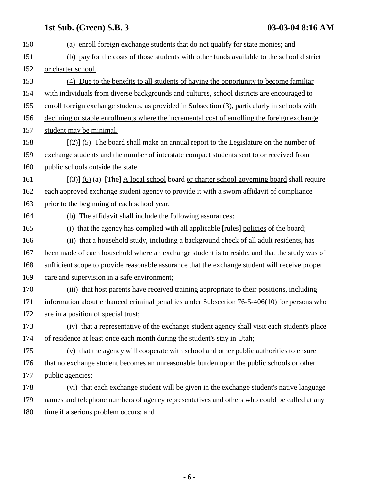| 150 | (a) enroll foreign exchange students that do not qualify for state monies; and                          |
|-----|---------------------------------------------------------------------------------------------------------|
| 151 | (b) pay for the costs of those students with other funds available to the school district               |
| 152 | or charter school.                                                                                      |
| 153 | (4) Due to the benefits to all students of having the opportunity to become familiar                    |
| 154 | with individuals from diverse backgrounds and cultures, school districts are encouraged to              |
| 155 | enroll foreign exchange students, as provided in Subsection (3), particularly in schools with           |
| 156 | declining or stable enrollments where the incremental cost of enrolling the foreign exchange            |
| 157 | student may be minimal.                                                                                 |
| 158 | $[\frac{1}{2}]$ (5) The board shall make an annual report to the Legislature on the number of           |
| 159 | exchange students and the number of interstate compact students sent to or received from                |
| 160 | public schools outside the state.                                                                       |
| 161 | $[\langle 3\rangle]$ (6) (a) [The] A local school board or charter school governing board shall require |
| 162 | each approved exchange student agency to provide it with a sworn affidavit of compliance                |
| 163 | prior to the beginning of each school year.                                                             |
| 164 | (b) The affidavit shall include the following assurances:                                               |
| 165 | (i) that the agency has complied with all applicable [rules] policies of the board;                     |
| 166 | (ii) that a household study, including a background check of all adult residents, has                   |
| 167 | been made of each household where an exchange student is to reside, and that the study was of           |
| 168 | sufficient scope to provide reasonable assurance that the exchange student will receive proper          |
| 169 | care and supervision in a safe environment;                                                             |
| 170 | (iii) that host parents have received training appropriate to their positions, including                |
| 171 | information about enhanced criminal penalties under Subsection 76-5-406(10) for persons who             |
| 172 | are in a position of special trust;                                                                     |
| 173 | (iv) that a representative of the exchange student agency shall visit each student's place              |
| 174 | of residence at least once each month during the student's stay in Utah;                                |
| 175 | (v) that the agency will cooperate with school and other public authorities to ensure                   |
| 176 | that no exchange student becomes an unreasonable burden upon the public schools or other                |
| 177 | public agencies;                                                                                        |
| 178 | (vi) that each exchange student will be given in the exchange student's native language                 |
| 179 | names and telephone numbers of agency representatives and others who could be called at any             |
| 180 | time if a serious problem occurs; and                                                                   |
|     |                                                                                                         |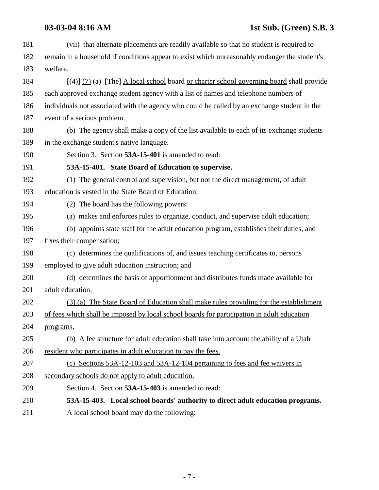| 181 | (vii) that alternate placements are readily available so that no student is required to            |
|-----|----------------------------------------------------------------------------------------------------|
| 182 | remain in a household if conditions appear to exist which unreasonably endanger the student's      |
| 183 | welfare.                                                                                           |
| 184 | $[\frac{4}{4}]$ (7) (a) [The] A local school board or charter school governing board shall provide |
| 185 | each approved exchange student agency with a list of names and telephone numbers of                |
| 186 | individuals not associated with the agency who could be called by an exchange student in the       |
| 187 | event of a serious problem.                                                                        |
| 188 | (b) The agency shall make a copy of the list available to each of its exchange students            |
| 189 | in the exchange student's native language.                                                         |
| 190 | Section 3. Section 53A-15-401 is amended to read:                                                  |
| 191 | 53A-15-401. State Board of Education to supervise.                                                 |
| 192 | (1) The general control and supervision, but not the direct management, of adult                   |
| 193 | education is vested in the State Board of Education.                                               |
| 194 | (2) The board has the following powers:                                                            |
| 195 | (a) makes and enforces rules to organize, conduct, and supervise adult education;                  |
| 196 | (b) appoints state staff for the adult education program, establishes their duties, and            |
| 197 | fixes their compensation;                                                                          |
| 198 | (c) determines the qualifications of, and issues teaching certificates to, persons                 |
| 199 | employed to give adult education instruction; and                                                  |
| 200 | (d) determines the basis of apportionment and distributes funds made available for                 |
| 201 | adult education.                                                                                   |
| 202 | (3) (a) The State Board of Education shall make rules providing for the establishment              |
| 203 | of fees which shall be imposed by local school boards for participation in adult education         |
| 204 | programs.                                                                                          |
| 205 | (b) A fee structure for adult education shall take into account the ability of a Utah              |
| 206 | resident who participates in adult education to pay the fees.                                      |
| 207 | (c) Sections 53A-12-103 and 53A-12-104 pertaining to fees and fee waivers in                       |
| 208 | secondary schools do not apply to adult education.                                                 |
| 209 | Section 4. Section 53A-15-403 is amended to read:                                                  |
| 210 | 53A-15-403. Local school boards' authority to direct adult education programs.                     |
| 211 | A local school board may do the following:                                                         |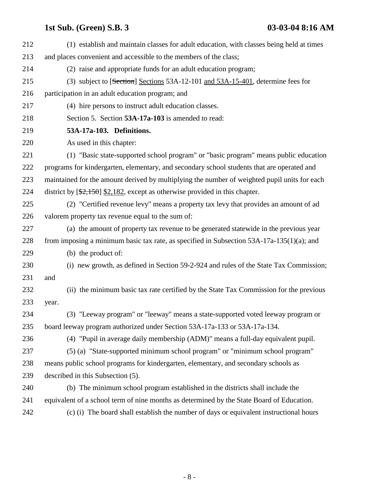| 212 | (1) establish and maintain classes for adult education, with classes being held at times     |
|-----|----------------------------------------------------------------------------------------------|
| 213 | and places convenient and accessible to the members of the class;                            |
| 214 | (2) raise and appropriate funds for an adult education program;                              |
| 215 | (3) subject to [Section] Sections 53A-12-101 and 53A-15-401, determine fees for              |
| 216 | participation in an adult education program; and                                             |
| 217 | (4) hire persons to instruct adult education classes.                                        |
| 218 | Section 5. Section 53A-17a-103 is amended to read:                                           |
| 219 | 53A-17a-103. Definitions.                                                                    |
| 220 | As used in this chapter:                                                                     |
| 221 | (1) "Basic state-supported school program" or "basic program" means public education         |
| 222 | programs for kindergarten, elementary, and secondary school students that are operated and   |
| 223 | maintained for the amount derived by multiplying the number of weighted pupil units for each |
| 224 | district by $[\frac{2,150}{2,182}]$ , except as otherwise provided in this chapter.          |
| 225 | (2) "Certified revenue levy" means a property tax levy that provides an amount of ad         |
| 226 | valorem property tax revenue equal to the sum of:                                            |
| 227 | (a) the amount of property tax revenue to be generated statewide in the previous year        |
| 228 | from imposing a minimum basic tax rate, as specified in Subsection $53A-17a-135(1)(a)$ ; and |
| 229 | (b) the product of:                                                                          |
| 230 | (i) new growth, as defined in Section 59-2-924 and rules of the State Tax Commission;        |
| 231 | and                                                                                          |
| 232 | (ii) the minimum basic tax rate certified by the State Tax Commission for the previous       |
| 233 | year.                                                                                        |
| 234 | (3) "Leeway program" or "leeway" means a state-supported voted leeway program or             |
| 235 | board leeway program authorized under Section 53A-17a-133 or 53A-17a-134.                    |
| 236 | (4) "Pupil in average daily membership (ADM)" means a full-day equivalent pupil.             |
| 237 | (5) (a) "State-supported minimum school program" or "minimum school program"                 |
| 238 | means public school programs for kindergarten, elementary, and secondary schools as          |
| 239 | described in this Subsection (5).                                                            |
| 240 | (b) The minimum school program established in the districts shall include the                |
| 241 | equivalent of a school term of nine months as determined by the State Board of Education.    |
| 242 | (c) (i) The board shall establish the number of days or equivalent instructional hours       |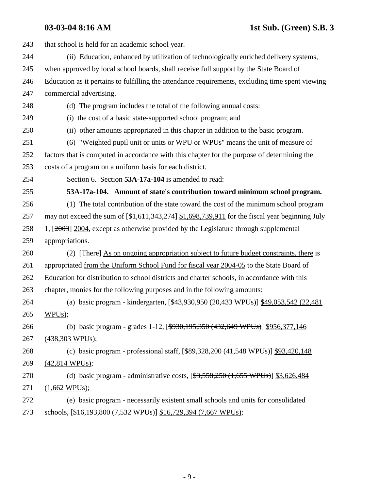| 243 | that school is held for an academic school year.                                                      |
|-----|-------------------------------------------------------------------------------------------------------|
| 244 | (ii) Education, enhanced by utilization of technologically enriched delivery systems,                 |
| 245 | when approved by local school boards, shall receive full support by the State Board of                |
| 246 | Education as it pertains to fulfilling the attendance requirements, excluding time spent viewing      |
| 247 | commercial advertising.                                                                               |
| 248 | (d) The program includes the total of the following annual costs:                                     |
| 249 | (i) the cost of a basic state-supported school program; and                                           |
| 250 | (ii) other amounts appropriated in this chapter in addition to the basic program.                     |
| 251 | (6) "Weighted pupil unit or units or WPU or WPUs" means the unit of measure of                        |
| 252 | factors that is computed in accordance with this chapter for the purpose of determining the           |
| 253 | costs of a program on a uniform basis for each district.                                              |
| 254 | Section 6. Section 53A-17a-104 is amended to read:                                                    |
| 255 | 53A-17a-104. Amount of state's contribution toward minimum school program.                            |
| 256 | (1) The total contribution of the state toward the cost of the minimum school program                 |
| 257 | may not exceed the sum of $[\frac{$1,611,343,274}{1,698,739,911}]$ for the fiscal year beginning July |
| 258 | 1, [2003] 2004, except as otherwise provided by the Legislature through supplemental                  |
| 259 | appropriations.                                                                                       |
| 260 | (2) [There] As on ongoing appropriation subject to future budget constraints, there is                |
| 261 | appropriated from the Uniform School Fund for fiscal year 2004-05 to the State Board of               |
| 262 | Education for distribution to school districts and charter schools, in accordance with this           |
| 263 | chapter, monies for the following purposes and in the following amounts:                              |
| 264 | (a) basic program - kindergarten, $[43,930,950,20,433$ WPUs)] \$49,053,542 (22,481)                   |
| 265 | WPUs);                                                                                                |
| 266 | (b) basic program - grades 1-12, [\$930,195,350 (432,649 WPUs)] \$956,377,146                         |
| 267 | $(438,303 \text{ WPUs});$                                                                             |
| 268 | (c) basic program - professional staff, $[$ \$89,328,200 (41,548 WPUs)] \$93,420,148                  |
| 269 | $(42,814 \text{ WPUs});$                                                                              |
| 270 | (d) basic program - administrative costs, $[\frac{23}{5558,250} (1,655 \text{ WPUs})]$ \$3,626,484    |
| 271 | $(1,662 \text{ WPUs});$                                                                               |
| 272 | (e) basic program - necessarily existent small schools and units for consolidated                     |
| 273 | schools, [\$16,193,800 (7,532 WPUs)] \$16,729,394 (7,667 WPUs);                                       |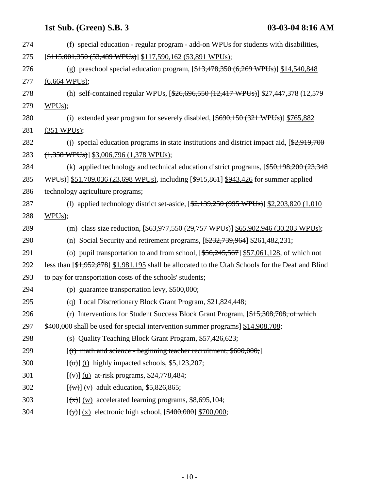| 274 | (f) special education - regular program - add-on WPUs for students with disabilities,                            |
|-----|------------------------------------------------------------------------------------------------------------------|
| 275 | $[$115,001,350 (53,489 WPUs)]$ \$117,590,162 (53,891 WPUs);                                                      |
| 276 | (g) preschool special education program, $[413,478,350 (6,269 \text{ WPUs})]$ \$14,540,848                       |
| 277 | $(6,664 \text{ WPUs})$ ;                                                                                         |
| 278 | (h) self-contained regular WPUs, [\$26,696,550 (12,417 WPUs)] \$27,447,378 (12,579)                              |
| 279 | WPUs);                                                                                                           |
| 280 | (i) extended year program for severely disabled, $[$ \$690,150 $(321 \text{ WPUs})]$ \$765,882                   |
| 281 | $(351 \text{ WPUs});$                                                                                            |
| 282 | (i) special education programs in state institutions and district impact aid, $\left[\frac{2,919,700}{2}\right]$ |
| 283 | $(1,358 \text{ WPUs})$ \$3,006,796 (1,378 WPUs);                                                                 |
| 284 | (k) applied technology and technical education district programs, $[$50,198,200 (23,348)$                        |
| 285 | <del>WPUs)</del> ] \$51,709,036 (23,698 WPUs), including [\$915,861] \$943,426 for summer applied                |
| 286 | technology agriculture programs;                                                                                 |
| 287 | (1) applied technology district set-aside, $[ $2,139,250 (995 W PUs) ] $2,203,820 (1,010)$                       |
| 288 | WPUs);                                                                                                           |
| 289 | (m) class size reduction, $[$ \$63,977,550 (29,757 WPUs)] \$65,902,946 (30,203 WPUs);                            |
| 290 | (n) Social Security and retirement programs, $[\frac{232,739,964}{261,482,231}]$                                 |
| 291 | (o) pupil transportation to and from school, $[$ \$56,245,567] $$57,061,128$ , of which not                      |
| 292 | less than [\$1,952,878] \$1,981,195 shall be allocated to the Utah Schools for the Deaf and Blind                |
| 293 | to pay for transportation costs of the schools' students;                                                        |
| 294 | (p) guarantee transportation levy, $$500,000;$                                                                   |
| 295 | (q) Local Discretionary Block Grant Program, \$21,824,448;                                                       |
| 296 | (r) Interventions for Student Success Block Grant Program, [\$15,308,708, of which                               |
| 297 | \$400,000 shall be used for special intervention summer programs \ \fmathem\$ 14,908,708;                        |
| 298 | (s) Quality Teaching Block Grant Program, \$57,426,623;                                                          |
| 299 | $[(t)$ math and science - beginning teacher recruitment, \$600,000;                                              |
| 300 | $[\text{u}, \text{u}]$ (t) highly impacted schools, \$5,123,207;                                                 |
| 301 | $[(\forall)]$ (u) at-risk programs, \$24,778,484;                                                                |
| 302 | $\lceil$ (w) $\lceil$ (v) adult education, \$5,826,865;                                                          |
| 303 | $[\frac{(\mathbf{x})}{(\mathbf{x})}]$ (w) accelerated learning programs, \$8,695,104;                            |
| 304 | $[\frac{f(y)}{x}]$ (x) electronic high school, $[\frac{400,000}{x}]$ \$700,000;                                  |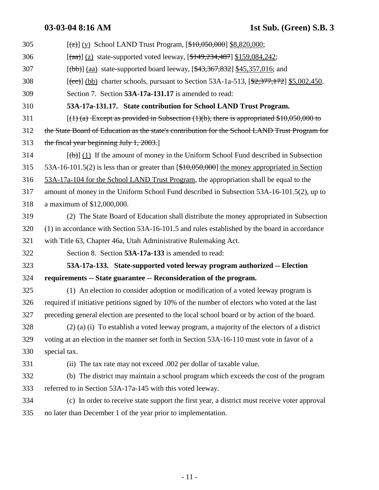| 305 |                                                                                                         |
|-----|---------------------------------------------------------------------------------------------------------|
| 306 | $[\frac{1}{(aa)}]$ (z) state-supported voted leeway, $[\frac{149,234,487]}{159,084,242}$ ;              |
| 307 | $[\frac{1}{12}]$ (aa) state-supported board leeway, $[\frac{43,367,832}{15,357,016}]$ ; and             |
| 308 | $[\text{(cc)}]$ (bb) charter schools, pursuant to Section 53A-1a-513, $[\frac{2,377,172}{2,5.002,450}]$ |
| 309 | Section 7. Section 53A-17a-131.17 is amended to read:                                                   |
| 310 | 53A-17a-131.17. State contribution for School LAND Trust Program.                                       |
| 311 | $[(1)$ (a) Except as provided in Subsection (1)(b), there is appropriated \$10,050,000 to               |
| 312 | the State Board of Education as the state's contribution for the School LAND Trust Program for          |
| 313 | the fiscal year beginning July 1, 2003.                                                                 |
| 314 | $(\theta)$ (1) If the amount of money in the Uniform School Fund described in Subsection                |
| 315 | 53A-16-101.5(2) is less than or greater than [\$10,050,000] the money appropriated in Section           |
| 316 | 53A-17a-104 for the School LAND Trust Program, the appropriation shall be equal to the                  |
| 317 | amount of money in the Uniform School Fund described in Subsection 53A-16-101.5(2), up to               |
| 318 | a maximum of \$12,000,000.                                                                              |
| 319 | (2) The State Board of Education shall distribute the money appropriated in Subsection                  |
| 320 | (1) in accordance with Section 53A-16-101.5 and rules established by the board in accordance            |
| 321 | with Title 63, Chapter 46a, Utah Administrative Rulemaking Act.                                         |
| 322 | Section 8. Section 53A-17a-133 is amended to read:                                                      |
| 323 | 53A-17a-133. State-supported voted leeway program authorized -- Election                                |
| 324 | requirements -- State guarantee -- Reconsideration of the program.                                      |
| 325 | (1) An election to consider adoption or modification of a voted leeway program is                       |
| 326 | required if initiative petitions signed by 10% of the number of electors who voted at the last          |
| 327 | preceding general election are presented to the local school board or by action of the board.           |
| 328 | $(2)$ (a) (i) To establish a voted leeway program, a majority of the electors of a district             |
| 329 | voting at an election in the manner set forth in Section 53A-16-110 must vote in favor of a             |
| 330 | special tax.                                                                                            |
| 331 | (ii) The tax rate may not exceed .002 per dollar of taxable value.                                      |
| 332 | (b) The district may maintain a school program which exceeds the cost of the program                    |
| 333 | referred to in Section 53A-17a-145 with this voted leeway.                                              |
| 334 | (c) In order to receive state support the first year, a district must receive voter approval            |
| 335 | no later than December 1 of the year prior to implementation.                                           |
|     |                                                                                                         |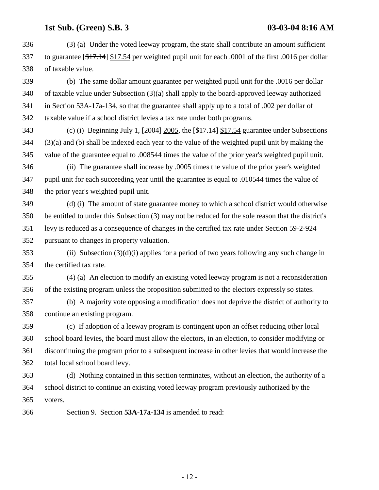336 (3) (a) Under the voted leeway program, the state shall contribute an amount sufficient 337 to guarantee [\$17.14] \$17.54 per weighted pupil unit for each .0001 of the first .0016 per dollar 338 of taxable value.

339 (b) The same dollar amount guarantee per weighted pupil unit for the .0016 per dollar 340 of taxable value under Subsection (3)(a) shall apply to the board-approved leeway authorized 341 in Section 53A-17a-134, so that the guarantee shall apply up to a total of .002 per dollar of 342 taxable value if a school district levies a tax rate under both programs.

343 (c) (i) Beginning July 1, [2004] 2005, the [\$17.14] \$17.54 guarantee under Subsections 344 (3)(a) and (b) shall be indexed each year to the value of the weighted pupil unit by making the 345 value of the guarantee equal to .008544 times the value of the prior year's weighted pupil unit.

346 (ii) The guarantee shall increase by .0005 times the value of the prior year's weighted 347 pupil unit for each succeeding year until the guarantee is equal to .010544 times the value of 348 the prior year's weighted pupil unit.

349 (d) (i) The amount of state guarantee money to which a school district would otherwise 350 be entitled to under this Subsection (3) may not be reduced for the sole reason that the district's 351 levy is reduced as a consequence of changes in the certified tax rate under Section 59-2-924 352 pursuant to changes in property valuation.

353 (ii) Subsection (3)(d)(i) applies for a period of two years following any such change in 354 the certified tax rate.

355 (4) (a) An election to modify an existing voted leeway program is not a reconsideration 356 of the existing program unless the proposition submitted to the electors expressly so states.

357 (b) A majority vote opposing a modification does not deprive the district of authority to 358 continue an existing program.

359 (c) If adoption of a leeway program is contingent upon an offset reducing other local 360 school board levies, the board must allow the electors, in an election, to consider modifying or 361 discontinuing the program prior to a subsequent increase in other levies that would increase the 362 total local school board levy.

363 (d) Nothing contained in this section terminates, without an election, the authority of a 364 school district to continue an existing voted leeway program previously authorized by the 365 voters.

366 Section 9. Section **53A-17a-134** is amended to read: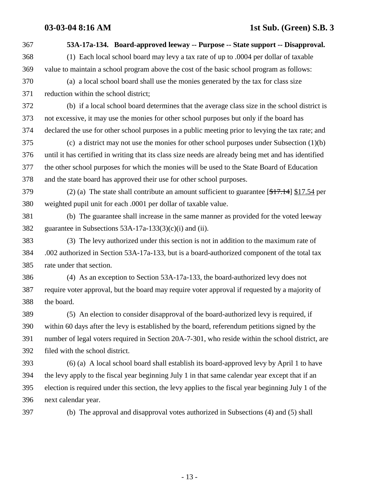- 367 **53A-17a-134. Board-approved leeway -- Purpose -- State support -- Disapproval.** 368 (1) Each local school board may levy a tax rate of up to .0004 per dollar of taxable 369 value to maintain a school program above the cost of the basic school program as follows: 370 (a) a local school board shall use the monies generated by the tax for class size 371 reduction within the school district; 372 (b) if a local school board determines that the average class size in the school district is 373 not excessive, it may use the monies for other school purposes but only if the board has 374 declared the use for other school purposes in a public meeting prior to levying the tax rate; and 375 (c) a district may not use the monies for other school purposes under Subsection (1)(b) 376 until it has certified in writing that its class size needs are already being met and has identified 377 the other school purposes for which the monies will be used to the State Board of Education 378 and the state board has approved their use for other school purposes. 379 (2) (a) The state shall contribute an amount sufficient to guarantee  $[1, 14]$  \$17.54 per 380 weighted pupil unit for each .0001 per dollar of taxable value. 381 (b) The guarantee shall increase in the same manner as provided for the voted leeway 382 guarantee in Subsections 53A-17a-133(3)(c)(i) and (ii). 383 (3) The levy authorized under this section is not in addition to the maximum rate of 384 .002 authorized in Section 53A-17a-133, but is a board-authorized component of the total tax 385 rate under that section. 386 (4) As an exception to Section 53A-17a-133, the board-authorized levy does not 387 require voter approval, but the board may require voter approval if requested by a majority of 388 the board. 389 (5) An election to consider disapproval of the board-authorized levy is required, if 390 within 60 days after the levy is established by the board, referendum petitions signed by the 391 number of legal voters required in Section 20A-7-301, who reside within the school district, are 392 filed with the school district. 393 (6) (a) A local school board shall establish its board-approved levy by April 1 to have 394 the levy apply to the fiscal year beginning July 1 in that same calendar year except that if an 395 election is required under this section, the levy applies to the fiscal year beginning July 1 of the
	-

396 next calendar year.

397 (b) The approval and disapproval votes authorized in Subsections (4) and (5) shall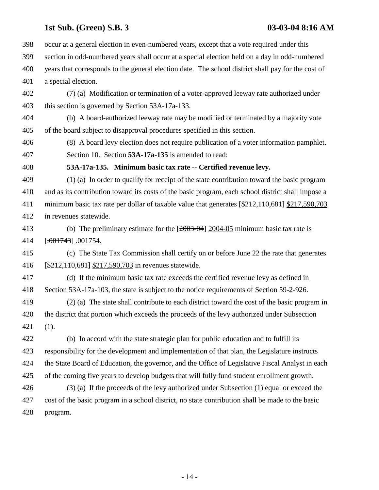398 occur at a general election in even-numbered years, except that a vote required under this 399 section in odd-numbered years shall occur at a special election held on a day in odd-numbered 400 years that corresponds to the general election date. The school district shall pay for the cost of 401 a special election.

402 (7) (a) Modification or termination of a voter-approved leeway rate authorized under 403 this section is governed by Section 53A-17a-133.

404 (b) A board-authorized leeway rate may be modified or terminated by a majority vote 405 of the board subject to disapproval procedures specified in this section.

406 (8) A board levy election does not require publication of a voter information pamphlet. 407 Section 10. Section **53A-17a-135** is amended to read:

### 408 **53A-17a-135. Minimum basic tax rate -- Certified revenue levy.**

409 (1) (a) In order to qualify for receipt of the state contribution toward the basic program 410 and as its contribution toward its costs of the basic program, each school district shall impose a 411 minimum basic tax rate per dollar of taxable value that generates [\$212,110,681] \$217,590,703 412 in revenues statewide.

413 (b) The preliminary estimate for the [2003-04] 2004-05 minimum basic tax rate is 414 [.001743] .001754.

415 (c) The State Tax Commission shall certify on or before June 22 the rate that generates 416 [\$212,110,681] \$217,590,703 in revenues statewide.

417 (d) If the minimum basic tax rate exceeds the certified revenue levy as defined in 418 Section 53A-17a-103, the state is subject to the notice requirements of Section 59-2-926.

419 (2) (a) The state shall contribute to each district toward the cost of the basic program in 420 the district that portion which exceeds the proceeds of the levy authorized under Subsection 421 (1).

422 (b) In accord with the state strategic plan for public education and to fulfill its 423 responsibility for the development and implementation of that plan, the Legislature instructs 424 the State Board of Education, the governor, and the Office of Legislative Fiscal Analyst in each 425 of the coming five years to develop budgets that will fully fund student enrollment growth. 426 (3) (a) If the proceeds of the levy authorized under Subsection (1) equal or exceed the

427 cost of the basic program in a school district, no state contribution shall be made to the basic 428 program.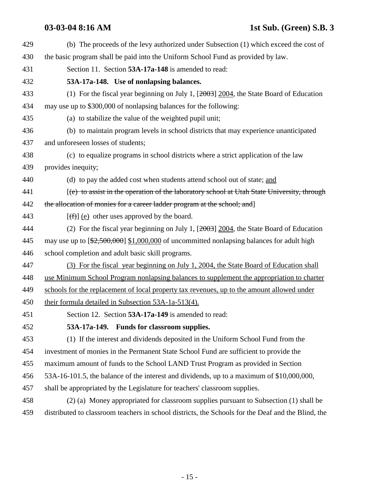## **03-03-04 8:16 AM 1st Sub. (Green) S.B. 3**

| 429 | (b) The proceeds of the levy authorized under Subsection (1) which exceed the cost of              |
|-----|----------------------------------------------------------------------------------------------------|
| 430 | the basic program shall be paid into the Uniform School Fund as provided by law.                   |
| 431 | Section 11. Section 53A-17a-148 is amended to read:                                                |
| 432 | 53A-17a-148. Use of nonlapsing balances.                                                           |
| 433 | (1) For the fiscal year beginning on July 1, $[2003]$ 2004, the State Board of Education           |
| 434 | may use up to \$300,000 of nonlapsing balances for the following:                                  |
| 435 | (a) to stabilize the value of the weighted pupil unit;                                             |
| 436 | (b) to maintain program levels in school districts that may experience unanticipated               |
| 437 | and unforeseen losses of students;                                                                 |
| 438 | (c) to equalize programs in school districts where a strict application of the law                 |
| 439 | provides inequity;                                                                                 |
| 440 | (d) to pay the added cost when students attend school out of state; and                            |
| 441 | $(e)$ to assist in the operation of the laboratory school at Utah State University, through        |
| 442 | the allocation of monies for a career ladder program at the school; and                            |
| 443 | $[\text{f} \hat{\theta}]$ (e) other uses approved by the board.                                    |
| 444 | (2) For the fiscal year beginning on July 1, $[2003]$ 2004, the State Board of Education           |
| 445 | may use up to $[\frac{22,500,000}{1,000,000}]$ of uncommitted nonlapsing balances for adult high   |
| 446 | school completion and adult basic skill programs.                                                  |
| 447 | (3) For the fiscal year beginning on July 1, 2004, the State Board of Education shall              |
| 448 | use Minimum School Program nonlapsing balances to supplement the appropriation to charter          |
| 449 | schools for the replacement of local property tax revenues, up to the amount allowed under         |
| 450 | their formula detailed in Subsection 53A-1a-513(4).                                                |
| 451 | Section 12. Section 53A-17a-149 is amended to read:                                                |
| 452 | 53A-17a-149. Funds for classroom supplies.                                                         |
| 453 | (1) If the interest and dividends deposited in the Uniform School Fund from the                    |
| 454 | investment of monies in the Permanent State School Fund are sufficient to provide the              |
| 455 | maximum amount of funds to the School LAND Trust Program as provided in Section                    |
| 456 | 53A-16-101.5, the balance of the interest and dividends, up to a maximum of \$10,000,000,          |
| 457 | shall be appropriated by the Legislature for teachers' classroom supplies.                         |
| 458 | (2) (a) Money appropriated for classroom supplies pursuant to Subsection (1) shall be              |
| 459 | distributed to classroom teachers in school districts, the Schools for the Deaf and the Blind, the |
|     |                                                                                                    |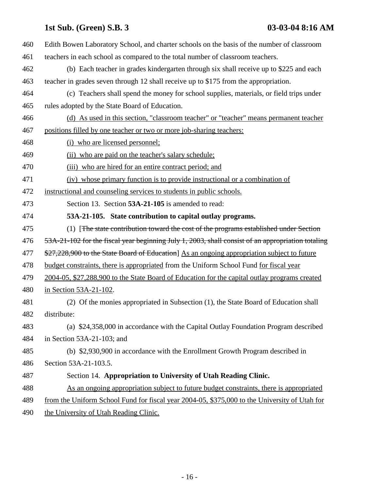| 460 | Edith Bowen Laboratory School, and charter schools on the basis of the number of classroom        |
|-----|---------------------------------------------------------------------------------------------------|
| 461 | teachers in each school as compared to the total number of classroom teachers.                    |
| 462 | (b) Each teacher in grades kindergarten through six shall receive up to \$225 and each            |
| 463 | teacher in grades seven through 12 shall receive up to \$175 from the appropriation.              |
| 464 | (c) Teachers shall spend the money for school supplies, materials, or field trips under           |
| 465 | rules adopted by the State Board of Education.                                                    |
| 466 | (d) As used in this section, "classroom teacher" or "teacher" means permanent teacher             |
| 467 | positions filled by one teacher or two or more job-sharing teachers:                              |
| 468 | (i) who are licensed personnel;                                                                   |
| 469 | (ii) who are paid on the teacher's salary schedule;                                               |
| 470 | (iii) who are hired for an entire contract period; and                                            |
| 471 | (iv) whose primary function is to provide instructional or a combination of                       |
| 472 | instructional and counseling services to students in public schools.                              |
| 473 | Section 13. Section 53A-21-105 is amended to read:                                                |
| 474 | 53A-21-105. State contribution to capital outlay programs.                                        |
| 475 | (1) [The state contribution toward the cost of the programs established under Section             |
| 476 | 53A-21-102 for the fiscal year beginning July 1, 2003, shall consist of an appropriation totaling |
| 477 | \$27,228,900 to the State Board of Education] As an ongoing appropriation subject to future       |
|     |                                                                                                   |
| 478 | budget constraints, there is appropriated from the Uniform School Fund for fiscal year            |
| 479 | 2004-05, \$27,288,900 to the State Board of Education for the capital outlay programs created     |
| 480 | in Section 53A-21-102.                                                                            |
| 481 | (2) Of the monies appropriated in Subsection (1), the State Board of Education shall              |
| 482 | distribute:                                                                                       |
| 483 | (a) \$24,358,000 in accordance with the Capital Outlay Foundation Program described               |
| 484 | in Section $53A-21-103$ ; and                                                                     |
| 485 | (b) \$2,930,900 in accordance with the Enrollment Growth Program described in                     |
| 486 | Section 53A-21-103.5.                                                                             |
| 487 | Section 14. Appropriation to University of Utah Reading Clinic.                                   |
| 488 | As an ongoing appropriation subject to future budget constraints, there is appropriated           |
| 489 | from the Uniform School Fund for fiscal year 2004-05, \$375,000 to the University of Utah for     |

490 the University of Utah Reading Clinic.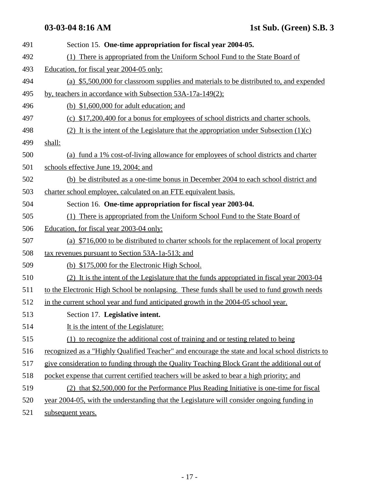| 491 | Section 15. One-time appropriation for fiscal year 2004-05.                                      |
|-----|--------------------------------------------------------------------------------------------------|
| 492 | (1) There is appropriated from the Uniform School Fund to the State Board of                     |
| 493 | Education, for fiscal year 2004-05 only:                                                         |
| 494 | (a) \$5,500,000 for classroom supplies and materials to be distributed to, and expended          |
| 495 | by, teachers in accordance with Subsection 53A-17a-149(2);                                       |
| 496 | (b) $$1,600,000$ for adult education; and                                                        |
| 497 | (c) \$17,200,400 for a bonus for employees of school districts and charter schools.              |
| 498 | (2) It is the intent of the Legislature that the appropriation under Subsection $(1)(c)$         |
| 499 | shall:                                                                                           |
| 500 | (a) fund a 1% cost-of-living allowance for employees of school districts and charter             |
| 501 | schools effective June 19, 2004; and                                                             |
| 502 | (b) be distributed as a one-time bonus in December 2004 to each school district and              |
| 503 | charter school employee, calculated on an FTE equivalent basis.                                  |
| 504 | Section 16. One-time appropriation for fiscal year 2003-04.                                      |
| 505 | (1) There is appropriated from the Uniform School Fund to the State Board of                     |
| 506 | Education, for fiscal year 2003-04 only:                                                         |
| 507 | (a) \$716,000 to be distributed to charter schools for the replacement of local property         |
| 508 | tax revenues pursuant to Section 53A-1a-513; and                                                 |
| 509 | (b) \$175,000 for the Electronic High School.                                                    |
| 510 | (2) It is the intent of the Legislature that the funds appropriated in fiscal year 2003-04       |
| 511 | to the Electronic High School be nonlapsing. These funds shall be used to fund growth needs      |
| 512 | in the current school year and fund anticipated growth in the 2004-05 school year.               |
| 513 | Section 17. Legislative intent.                                                                  |
| 514 | It is the intent of the Legislature:                                                             |
| 515 | (1) to recognize the additional cost of training and or testing related to being                 |
| 516 | recognized as a "Highly Qualified Teacher" and encourage the state and local school districts to |
| 517 | give consideration to funding through the Quality Teaching Block Grant the additional out of     |
| 518 | pocket expense that current certified teachers will be asked to bear a high priority; and        |
| 519 | (2) that \$2,500,000 for the Performance Plus Reading Initiative is one-time for fiscal          |
| 520 | year 2004-05, with the understanding that the Legislature will consider ongoing funding in       |
| 521 | subsequent years.                                                                                |